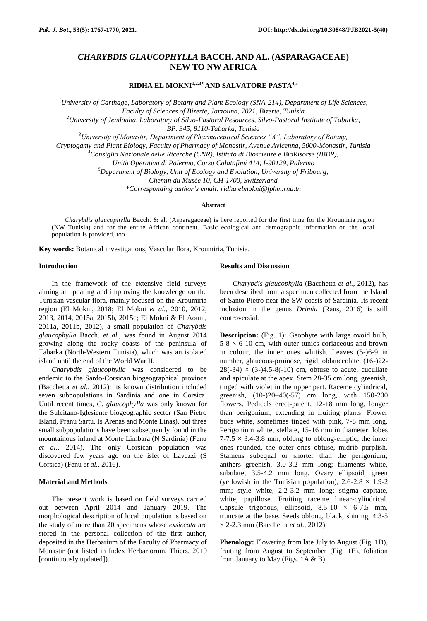# *CHARYBDIS GLAUCOPHYLLA* **BACCH. AND AL. (ASPARAGACEAE) NEW TO NW AFRICA**

**RIDHA EL MOKNI1,2,3\* AND SALVATORE PASTA4,5**

*<sup>1</sup>University of Carthage, Laboratory of Botany and Plant Ecology (SNA-214), Department of Life Sciences, Faculty of Sciences of Bizerte, Jarzouna, 7021, Bizerte, Tunisia <sup>2</sup>University of Jendouba, Laboratory of Silvo-Pastoral Resources, Silvo-Pastoral Institute of Tabarka,* 

*BP. 345, 8110-Tabarka, Tunisia*

*<sup>3</sup>University of Monastir, Department of Pharmaceutical Sciences "A", Laboratory of Botany,* 

*Cryptogamy and Plant Biology, Faculty of Pharmacy of Monastir, Avenue Avicenna, 5000-Monastir, Tunisia*

*<sup>4</sup>Consiglio Nazionale delle Ricerche (CNR), Istituto di Bioscienze e BioRisorse (IBBR),* 

*Unità Operativa di Palermo, Corso Calatafimi 414, I-90129, Palermo*

*<sup>5</sup>Department of Biology, Unit of Ecology and Evolution, University of Fribourg,* 

*Chemin du Musée 10, CH-1700, Switzerland*

*\*Corresponding author's email: [ridha.elmokni@fphm.rnu.tn](mailto:ridha.elmokni@fphm.rnu.tn)*

## **Abstract**

*Charybdis glaucophylla* Bacch. & al. (Asparagaceae) is here reported for the first time for the Kroumiria region (NW Tunisia) and for the entire African continent. Basic ecological and demographic information on the local population is provided, too.

**Key words:** Botanical investigations, Vascular flora, Kroumiria, Tunisia.

## **Introduction**

In the framework of the extensive field surveys aiming at updating and improving the knowledge on the Tunisian vascular flora, mainly focused on the Kroumiria region (El Mokni, 2018; El Mokni *et al.*, 2010, 2012, 2013, 2014, 2015a, 2015b, 2015c; El Mokni & El Aouni, 2011a, 2011b, 2012), a small population of *Charybdis glaucophylla* Bacch. *et al.*, was found in August 2014 growing along the rocky coasts of the peninsula of Tabarka (North-Western Tunisia), which was an isolated island until the end of the World War II.

*Charybdis glaucophylla* was considered to be endemic to the Sardo-Corsican biogeographical province (Bacchetta *et al.*, 2012): its known distribution included seven subpopulations in Sardinia and one in Corsica. Until recent times, *C. glaucophylla* was only known for the Sulcitano-Iglesiente biogeographic sector (San Pietro Island, Pranu Sartu, Is Arenas and Monte Linas), but three small subpopulations have been subsequently found in the mountainous inland at Monte Limbara (N Sardinia) (Fenu *et al.*, 2014). The only Corsican population was discovered few years ago on the islet of Lavezzi (S Corsica) (Fenu *et al.*, 2016).

## **Material and Methods**

The present work is based on field surveys carried out between April 2014 and January 2019. The morphological description of local population is based on the study of more than 20 specimens whose *exsiccata* are stored in the personal collection of the first author, deposited in the Herbarium of the Faculty of Pharmacy of Monastir (not listed in Index Herbariorum, Thiers, 2019 [continuously updated]).

## **Results and Discussion**

*Charybdis glaucophylla* (Bacchetta *et al.*, 2012), has been described from a specimen collected from the Island of Santo Pietro near the SW coasts of Sardinia. Its recent inclusion in the genus *Drimia* (Raus, 2016) is still controversial.

**Description:** (Fig. 1): Geophyte with large ovoid bulb,  $5-8 \times 6-10$  cm, with outer tunics coriaceous and brown in colour, the inner ones whitish. Leaves (5-)6-9 in number, glaucous-pruinose, rigid, oblanceolate, (16-)22-  $28(-34) \times (3-)4.5-8(-10)$  cm, obtuse to acute, cucullate and apiculate at the apex. Stem 28-35 cm long, greenish, tinged with violet in the upper part. Raceme cylindrical, greenish, (10-)20–40(-57) cm long, with 150-200 flowers. Pedicels erect-patent, 12-18 mm long, longer than perigonium, extending in fruiting plants. Flower buds white, sometimes tinged with pink, 7-8 mm long. Perigonium white, stellate, 15-16 mm in diameter; lobes  $7-7.5 \times 3.4-3.8$  mm, oblong to oblong-elliptic, the inner ones rounded, the outer ones obtuse, midrib purplish. Stamens subequal or shorter than the perigonium; anthers greenish, 3.0-3.2 mm long; filaments white, subulate, 3.5-4.2 mm long. Ovary ellipsoid, green (yellowish in the Tunisian population),  $2.6 - 2.8 \times 1.9 - 2$ mm; style white, 2.2-3.2 mm long; stigma capitate, white, papillose. Fruiting raceme linear-cylindrical. Capsule trigonous, ellipsoid,  $8.5-10 \times 6-7.5$  mm, truncate at the base. Seeds oblong, black, shining, 4.3-5 × 2-2.3 mm (Bacchetta *et al.*, 2012).

**Phenology:** Flowering from late July to August (Fig. 1D), fruiting from August to September (Fig. 1E), foliation from January to May (Figs. 1A & B).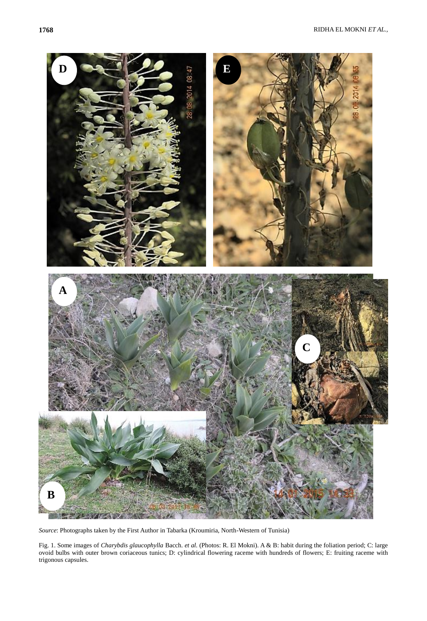

*Source*: Photographs taken by the First Author in Tabarka (Kroumiria, North-Western of Tunisia)

Fig. 1. Some images of *Charybdis glaucophylla* Bacch. *et al.* (Photos: R. El Mokni). A & B: habit during the foliation period; C: large ovoid bulbs with outer brown coriaceous tunics; D: cylindrical flowering raceme with hundreds of flowers; E: fruiting raceme with trigonous capsules.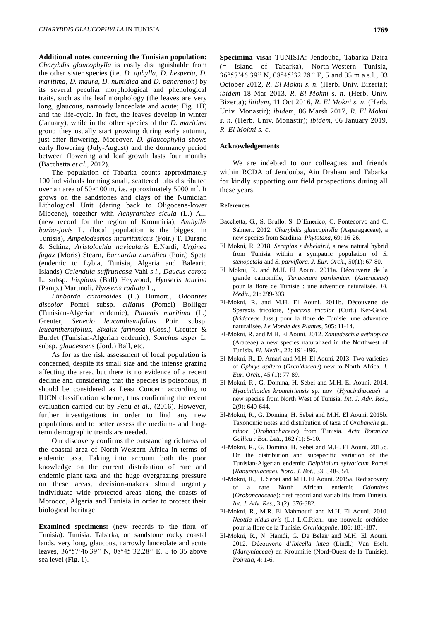**Additional notes concerning the Tunisian population:**  *Charybdis glaucophylla* is easily distinguishable from the other sister species (i.e. *D. aphylla*, *D. hesperia*, *D. maritima*, *D. maura*, *D. numidica* and *D. pancration*) by its several peculiar morphological and phenological traits, such as the leaf morphology (the leaves are very long, glaucous, narrowly lanceolate and acute; Fig. 1B) and the life-cycle. In fact, the leaves develop in winter (January), while in the other species of the *D. maritima*  group they usually start growing during early autumn, just after flowering. Moreover, *D. glaucophylla* shows early flowering (July-August) and the dormancy period between flowering and leaf growth lasts four months (Bacchetta *et al.*, 2012).

The population of Tabarka counts approximately 100 individuals forming small, scattered tufts distributed over an area of  $50\times100$  m, i.e. approximately 5000 m<sup>2</sup>. It grows on the sandstones and clays of the Numidian Lithological Unit (dating back to Oligocene-lower Miocene), together with *Achyranthes sicula* (L.) All. (new record for the region of Kroumiria), *Anthyllis barba-jovis* L. (local population is the biggest in Tunisia), *Ampelodesmos mauritanicus* (Poir.) T. Durand & Schinz, *Aristolochia navicularis* E.Nardi, *Urginea fugax* (Moris) Stearn, *Barnardia numidica* (Poir.) Speta (endemic to Lybia, Tunisia, Algeria and Balearic Islands) *Calendula suffruticosa* Vahl *s.l*., *Daucus carota* L. subsp. *hispidus* (Ball) Heywood, *Hyoseris taurina* (Pamp.) Martinoli, *Hyoseris radiata* L.,

*Limbarda crithmoides* (L.) Dumort., *Odontites discolor* Pomel subsp. *ciliatus* (Pomel) Bolliger (Tunisian-Algerian endemic), *Pallenis maritima* (L.) Greuter, *Senecio leucanthemifolius* Poir. subsp. *leucanthemifolius*, *Sixalix farinosa* (Coss.) Greuter & Burdet (Tunisian-Algerian endemic), *Sonchus asper* L. subsp. *glaucescens* (Jord.) Ball, etc.

As for as the risk assessment of local population is concerned, despite its small size and the intense grazing affecting the area, but there is no evidence of a recent decline and considering that the species is poisonous, it should be considered as Least Concern according to IUCN classification scheme, thus confirming the recent evaluation carried out by Fenu *et al.*, (2016). However, further investigations in order to find any new populations and to better assess the medium- and longterm demographic trends are needed.

Our discovery confirms the outstanding richness of the coastal area of North-Western Africa in terms of endemic taxa. Taking into account both the poor knowledge on the current distribution of rare and endemic plant taxa and the huge overgrazing pressure on these areas, decision-makers should urgently individuate wide protected areas along the coasts of Morocco, Algeria and Tunisia in order to protect their biological heritage.

**Examined specimens:** (new records to the flora of Tunisia): Tunisia. Tabarka, on sandstone rocky coastal lands, very long, glaucous, narrowly lanceolate and acute leaves, 36°57'46.39'' N, 08°45'32.28'' E, 5 to 35 above sea level (Fig. 1).

**Specimina visa:** TUNISIA: Jendouba, Tabarka-Dzira (= Island of Tabarka), North-Western Tunisia, 36°57'46.39'' N, 08°45'32.28'' E, 5 and 35 m a.s.l., 03 October 2012, *R. El Mokni s. n.* (Herb. Univ. Bizerta); *ibidem* 18 Mar 2013, *R. El Mokni s. n.* (Herb. Univ. Bizerta); *ibidem*, 11 Oct 2016, *R. El Mokni s. n.* (Herb. Univ. Monastir); *ibidem*, 06 Marsh 2017, *R. El Mokni s. n.* (Herb. Univ. Monastir); *ibidem*, 06 January 2019, *R. El Mokni s. c.*

#### **Acknowledgements**

We are indebted to our colleagues and friends within RCDA of Jendouba, Ain Draham and Tabarka for kindly supporting our field prospections during all these years.

## **References**

- Bacchetta, G., S. Brullo, S. D'Emerico, C. Pontecorvo and C. Salmeri. 2012. *Charybdis glaucophylla* (Asparagaceae), a new species from Sardinia. *Phytotaxa*, 69: 16-26.
- El Mokni, R. 2018. *Serapias ×debelairii*, a new natural hybrid from Tunisia within a sympatric population of *S. stenopetala* and *S. parviflora*. *J. Eur. Orch.*, 50(1): 67-80.
- El Mokni, R. and M.H. El Aouni. 2011a. Découverte de la grande camomille, *Tanacetum parthenium* (*Asteraceae*) pour la flore de Tunisie : une adventice naturalisée. *Fl. Medit.*, 21: 299-303.
- El-Mokni, R. and M.H. El Aouni. 2011b. Découverte de Sparaxis tricolore, *Sparaxis tricolor* (Curt.) Ker-Gawl. (*Iridaceae* Juss.) pour la flore de Tunisie: une adventice naturalisée. *Le Monde des Plantes*, 505: 11-14.
- El-Mokni, R. and M.H. El Aouni. 2012. *Zantedeschia aethiopica* (Araceae) a new species naturalized in the Northwest of Tunisia. *Fl. Medit.*, 22: 191-196.
- El-Mokni, R., D. Amari and M.H. El Aouni. 2013. Two varieties of *Ophrys apifera* (*Orchidaceae*) new to North Africa. *J. Eur. Orch.*, 45 (1): 77-89.
- El-Mokni, R., G. Domina, H. Sebei and M.H. El Aouni. 2014. *Hyacinthoides kroumiriensis* sp. nov. (*Hyacinthaceae*): a new species from North West of Tunisia. *Int. J. Adv. Res.*, 2(9): 640-644.
- El-Mokni, R., G. Domina, H. Sebei and M.H. El Aouni. 2015b. Taxonomic notes and distribution of taxa of *Orobanche* gr. *minor* (*Orobanchaceae*) from Tunisia. *Acta Botanica Gallica : Bot. Lett.*, 162 (1): 5-10.
- El-Mokni, R., G. Domina, H. Sebei and M.H. El Aouni. 2015c. On the distribution and subspecific variation of the Tunisian-Algerian endemic *Delphinium sylvaticum* Pomel (*Ranunculaceae*). *Nord. J. Bot.*, 33: 548-554.
- El-Mokni, R., H. Sebei and M.H. El Aouni. 2015a. Rediscovery of a rare North African endemic *Odontites* (*Orobanchaceae*): first record and variability from Tunisia. *Int. J. Adv. Res.*, 3 (2): 376-382.
- El-Mokni, R., M.R. El Mahmoudi and M.H. El Aouni. 2010. *Neottia nidus-avis* (L.) L.C.Rich.: une nouvelle orchidée pour la flore de la Tunisie. *Orchidophile*, 186: 181-187.
- El-Mokni, R., N. Hamdi, G. De Belair and M.H. El Aouni. 2012. Découverte d'*Ibicella lutea* (Lindl.) Van Eselt. (*Martyniaceae*) en Kroumirie (Nord-Ouest de la Tunisie). *Poiretia*, 4: 1-6.